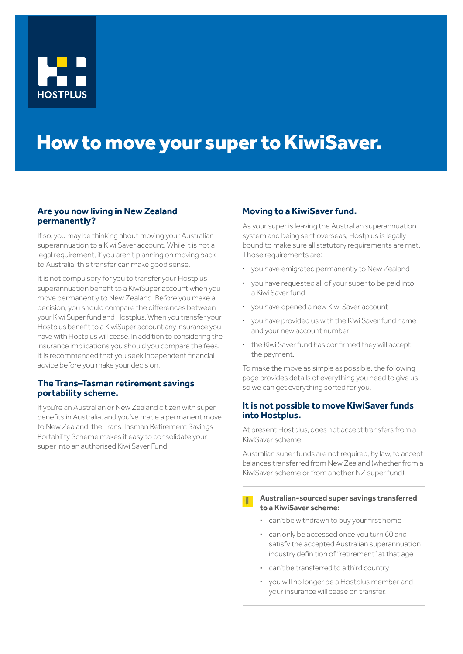

# How to move your super to KiwiSaver.

## **Are you now living in New Zealand permanently?**

If so, you may be thinking about moving your Australian superannuation to a Kiwi Saver account. While it is not a legal requirement, if you aren't planning on moving back to Australia, this transfer can make good sense.

It is not compulsory for you to transfer your Hostplus superannuation benefit to a KiwiSuper account when you move permanently to New Zealand. Before you make a decision, you should compare the differences between your Kiwi Super fund and Hostplus. When you transfer your Hostplus benefit to a KiwiSuper account any insurance you have with Hostplus will cease. In addition to considering the insurance implications you should you compare the fees. It is recommended that you seek independent financial advice before you make your decision.

#### **The Trans–Tasman retirement savings portability scheme.**

If you're an Australian or New Zealand citizen with super benefits in Australia, and you've made a permanent move to New Zealand, the Trans Tasman Retirement Savings Portability Scheme makes it easy to consolidate your super into an authorised Kiwi Saver Fund.

#### **Moving to a KiwiSaver fund.**

As your super is leaving the Australian superannuation system and being sent overseas, Hostplus is legally bound to make sure all statutory requirements are met. Those requirements are:

- **·** you have emigrated permanently to New Zealand
- **·** you have requested all of your super to be paid into a Kiwi Saver fund
- **·** you have opened a new Kiwi Saver account
- **·** you have provided us with the Kiwi Saver fund name and your new account number
- **·** the Kiwi Saver fund has confirmed they will accept the payment.

To make the move as simple as possible, the following page provides details of everything you need to give us so we can get everything sorted for you.

#### **It is not possible to move KiwiSaver funds into Hostplus.**

At present Hostplus, does not accept transfers from a KiwiSaver scheme.

Australian super funds are not required, by law, to accept balances transferred from New Zealand (whether from a KiwiSaver scheme or from another NZ super fund).

#### **EXECUTE: Australian-sourced super savings transferred to a KiwiSaver scheme:**

- **·** can't be withdrawn to buy your first home
- **·** can only be accessed once you turn 60 and satisfy the accepted Australian superannuation industry definition of "retirement" at that age
- **·** can't be transferred to a third country
- **·** you will no longer be a Hostplus member and your insurance will cease on transfer.